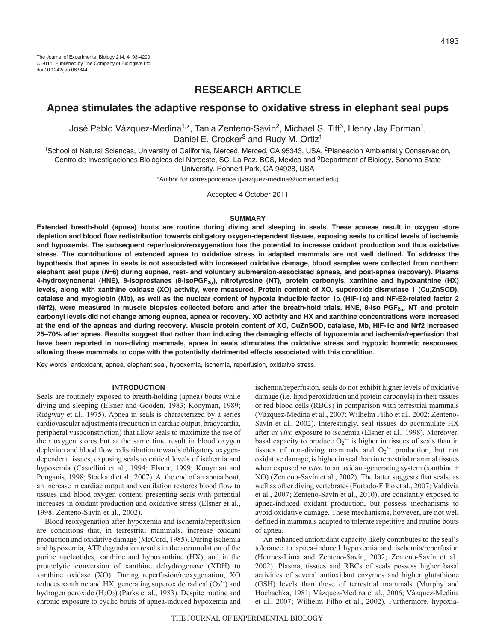# **RESEARCH ARTICLE**

# **Apnea stimulates the adaptive response to oxidative stress in elephant seal pups**

José Pablo Vázquez-Medina<sup>1,\*</sup>, Tania Zenteno-Savín<sup>2</sup>, Michael S. Tift<sup>3</sup>, Henry Jay Forman<sup>1</sup>, Daniel E. Crocker<sup>3</sup> and Rudy M. Ortiz<sup>1</sup>

<sup>1</sup>School of Natural Sciences, University of California, Merced, Merced, CA 95343, USA, <sup>2</sup>Planeación Ambiental y Conservación, Centro de Investigaciones Biológicas del Noroeste, SC, La Paz, BCS, Mexico and <sup>3</sup>Department of Biology, Sonoma State University, Rohnert Park, CA 94928, USA

\*Author for correspondence (jvazquez-medina@ucmerced.edu)

Accepted 4 October 2011

### **SUMMARY**

**Extended breath-hold (apnea) bouts are routine during diving and sleeping in seals. These apneas result in oxygen store depletion and blood flow redistribution towards obligatory oxygen-dependent tissues, exposing seals to critical levels of ischemia and hypoxemia. The subsequent reperfusion/reoxygenation has the potential to increase oxidant production and thus oxidative stress. The contributions of extended apnea to oxidative stress in adapted mammals are not well defined. To address the hypothesis that apnea in seals is not associated with increased oxidative damage, blood samples were collected from northern elephant seal pups (***N***6) during eupnea, rest- and voluntary submersion-associated apneas, and post-apnea (recovery). Plasma 4-hydroxynonenal (HNE), 8-isoprostanes (8-isoPGF2), nitrotyrosine (NT), protein carbonyls, xanthine and hypoxanthine (HX) levels, along with xanthine oxidase (XO) activity, were measured. Protein content of XO, superoxide dismutase 1 (Cu,ZnSOD), catalase and myoglobin (Mb), as well as the nuclear content of hypoxia inducible factor 1 (HIF-1) and NF-E2-related factor 2 (Nrf2), were measured in muscle biopsies collected before and after the breath-hold trials. HNE, 8-iso PGF2, NT and protein carbonyl levels did not change among eupnea, apnea or recovery. XO activity and HX and xanthine concentrations were increased at the end of the apneas and during recovery. Muscle protein content of XO, CuZnSOD, catalase, Mb, HIF-1 and Nrf2 increased 25–70% after apnea. Results suggest that rather than inducing the damaging effects of hypoxemia and ischemia/reperfusion that have been reported in non-diving mammals, apnea in seals stimulates the oxidative stress and hypoxic hormetic responses, allowing these mammals to cope with the potentially detrimental effects associated with this condition.**

Key words: antioxidant, apnea, elephant seal, hypoxemia, ischemia, reperfusion, oxidative stress.

### **INTRODUCTION**

Seals are routinely exposed to breath-holding (apnea) bouts while diving and sleeping (Elsner and Gooden, 1983; Kooyman, 1989; Ridgway et al., 1975). Apnea in seals is characterized by a series cardiovascular adjustments (reduction in cardiac output, bradycardia, peripheral vasoconstriction) that allow seals to maximize the use of their oxygen stores but at the same time result in blood oxygen depletion and blood flow redistribution towards obligatory oxygendependent tissues, exposing seals to critical levels of ischemia and hypoxemia (Castellini et al., 1994; Elsner, 1999; Kooyman and Ponganis, 1998; Stockard et al., 2007). At the end of an apnea bout, an increase in cardiac output and ventilation restores blood flow to tissues and blood oxygen content, presenting seals with potential increases in oxidant production and oxidative stress (Elsner et al., 1998; Zenteno-Savín et al., 2002).

Blood reoxygenation after hypoxemia and ischemia/reperfusion are conditions that, in terrestrial mammals, increase oxidant production and oxidative damage (McCord, 1985). During ischemia and hypoxemia, ATP degradation results in the accumulation of the purine nucleotides, xanthine and hypoxanthine (HX), and in the proteolytic conversion of xanthine dehydrogenase (XDH) to xanthine oxidase (XO). During reperfusion/reoxygenation, XO reduces xanthine and HX, generating superoxide radical  $(O_2^{\leftarrow})$  and hydrogen peroxide  $(H_2O_2)$  (Parks et al., 1983). Despite routine and chronic exposure to cyclic bouts of apnea-induced hypoxemia and ischemia/reperfusion, seals do not exhibit higher levels of oxidative damage (i.e. lipid peroxidation and protein carbonyls) in their tissues or red blood cells (RBCs) in comparison with terrestrial mammals (Vázquez-Medina et al., 2007; Wilhelm Filho et al., 2002; Zenteno-Savín et al., 2002). Interestingly, seal tissues do accumulate HX after *ex vivo* exposure to ischemia (Elsner et al., 1998). Moreover, basal capacity to produce  $O_2$ <sup>-</sup> is higher in tissues of seals than in tissues of non-diving mammals and  $O_2$ <sup>-</sup> production, but not oxidative damage, is higher in seal than in terrestrial mammal tissues when exposed *in vitro* to an oxidant-generating system (xanthine + XO) (Zenteno-Savín et al., 2002). The latter suggests that seals, as well as other diving vertebrates (Furtado-Filho et al., 2007; Valdivia et al., 2007; Zenteno-Savín et al., 2010), are constantly exposed to apnea-induced oxidant production, but possess mechanisms to avoid oxidative damage. These mechanisms, however, are not well defined in mammals adapted to tolerate repetitive and routine bouts of apnea.

An enhanced antioxidant capacity likely contributes to the seal's tolerance to apnea-induced hypoxemia and ischemia/reperfusion (Hermes-Lima and Zenteno-Savín, 2002; Zenteno-Savín et al., 2002). Plasma, tissues and RBCs of seals possess higher basal activities of several antioxidant enzymes and higher glutathione (GSH) levels than those of terrestrial mammals (Murphy and Hochachka, 1981; Vázquez-Medina et al., 2006; Vázquez-Medina et al., 2007; Wilhelm Filho et al., 2002). Furthermore, hypoxia-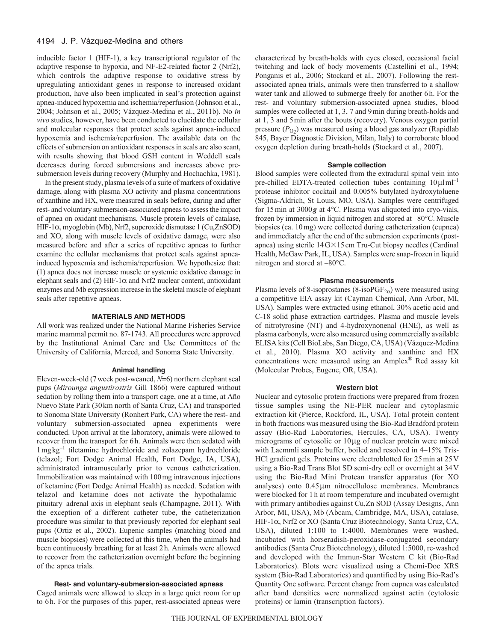### 4194 J. P. Vázquez-Medina and others

inducible factor 1 (HIF-1), a key transcriptional regulator of the adaptive response to hypoxia, and NF-E2-related factor 2 (Nrf2), which controls the adaptive response to oxidative stress by upregulating antioxidant genes in response to increased oxidant production, have also been implicated in seal's protection against apnea-induced hypoxemia and ischemia/reperfusion (Johnson et al., 2004; Johnson et al., 2005; Vázquez-Medina et al., 2011b). No *in vivo* studies, however, have been conducted to elucidate the cellular and molecular responses that protect seals against apnea-induced hypoxemia and ischemia/reperfusion. The available data on the effects of submersion on antioxidant responses in seals are also scant, with results showing that blood GSH content in Weddell seals decreases during forced submersions and increases above presubmersion levels during recovery (Murphy and Hochachka, 1981).

In the present study, plasma levels of a suite of markers of oxidative damage, along with plasma XO activity and plasma concentrations of xanthine and HX, were measured in seals before, during and after rest- and voluntary submersion-associated apneas to assess the impact of apnea on oxidant mechanisms. Muscle protein levels of catalase, HIF-1α, myoglobin (Mb), Nrf2, superoxide dismutase 1 (Cu,ZnSOD) and XO, along with muscle levels of oxidative damage, were also measured before and after a series of repetitive apneas to further examine the cellular mechanisms that protect seals against apneainduced hypoxemia and ischemia/reperfusion. We hypothesize that: (1) apnea does not increase muscle or systemic oxidative damage in elephant seals and (2) HIF-1 $\alpha$  and Nrf2 nuclear content, antioxidant enzymes and Mb expression increase in the skeletal muscle of elephant seals after repetitive apneas.

### **MATERIALS AND METHODS**

All work was realized under the National Marine Fisheries Service marine mammal permit no. 87-1743. All procedures were approved by the Institutional Animal Care and Use Committees of the University of California, Merced, and Sonoma State University.

### **Animal handling**

Eleven-week-old (7 week post-weaned,  $N=6$ ) northern elephant seal pups (*Mirounga angustirostris* Gill 1866) were captured without sedation by rolling them into a transport cage, one at a time, at Año Nuevo State Park (30km north of Santa Cruz, CA) and transported to Sonoma State University (Ronhert Park, CA) where the rest- and voluntary submersion-associated apnea experiments were conducted. Upon arrival at the laboratory, animals were allowed to recover from the transport for 6h. Animals were then sedated with 1mgkg–1 tiletamine hydrochloride and zolazepam hydrochloride (telazol; Fort Dodge Animal Health, Fort Dodge, IA, USA), administrated intramuscularly prior to venous catheterization. Immobilization was maintained with 100mg intravenous injections of ketamine (Fort Dodge Animal Health) as needed. Sedation with telazol and ketamine does not activate the hypothalamic– pituitary–adrenal axis in elephant seals (Champagne, 2011). With the exception of a different catheter tube, the catheterization procedure was similar to that previously reported for elephant seal pups (Ortiz et al., 2002). Eupenic samples (matching blood and muscle biopsies) were collected at this time, when the animals had been continuously breathing for at least 2h. Animals were allowed to recover from the catheterization overnight before the beginning of the apnea trials.

## **Rest- and voluntary-submersion-associated apneas**

Caged animals were allowed to sleep in a large quiet room for up to 6h. For the purposes of this paper, rest-associated apneas were characterized by breath-holds with eyes closed, occasional facial twitching and lack of body movements (Castellini et al., 1994; Ponganis et al., 2006; Stockard et al., 2007). Following the restassociated apnea trials, animals were then transferred to a shallow water tank and allowed to submerge freely for another 6h. For the rest- and voluntary submersion-associated apnea studies, blood samples were collected at 1, 3, 7 and 9min during breath-holds and at 1, 3 and 5min after the bouts (recovery). Venous oxygen partial pressure  $(P<sub>O2</sub>)$  was measured using a blood gas analyzer (Rapidlab 845, Bayer Diagnostic Division, Milan, Italy) to corroborate blood oxygen depletion during breath-holds (Stockard et al., 2007).

### **Sample collection**

Blood samples were collected from the extradural spinal vein into pre-chilled EDTA-treated collection tubes containing  $10 \mu I$ ml<sup>-1</sup> protease inhibitor cocktail and 0.005% butylated hydroxytoluene (Sigma-Aldrich, St Louis, MO, USA). Samples were centrifuged for 15min at 3000*g* at 4°C. Plasma was aliquoted into cryo-vials, frozen by immersion in liquid nitrogen and stored at –80°C. Muscle biopsies (ca. 10mg) were collected during catheterization (eupnea) and immediately after the end of the submersion experiments (postapnea) using sterile 14 G×15 cm Tru-Cut biopsy needles (Cardinal Health, McGaw Park, IL, USA). Samples were snap-frozen in liquid nitrogen and stored at –80°C.

## **Plasma measurements**

Plasma levels of 8-isoprostanes (8-isoPGF<sub>2 $\alpha$ </sub>) were measured using a competitive EIA assay kit (Cayman Chemical, Ann Arbor, MI, USA). Samples were extracted using ethanol, 30% acetic acid and C-18 solid phase extraction cartridges. Plasma and muscle levels of nitrotyrosine (NT) and 4-hydroxynonenal (HNE), as well as plasma carbonyls, were also measured using commercially available ELISA kits (Cell BioLabs, San Diego, CA, USA) (Vázquez-Medina et al., 2010). Plasma XO activity and xanthine and HX concentrations were measured using an Amplex® Red assay kit (Molecular Probes, Eugene, OR, USA).

### **Western blot**

Nuclear and cytosolic protein fractions were prepared from frozen tissue samples using the NE-PER nuclear and cytoplasmic extraction kit (Pierce, Rockford, IL, USA). Total protein content in both fractions was measured using the Bio-Rad Bradford protein assay (Bio-Rad Laboratories, Hercules, CA, USA). Twenty micrograms of cytosolic or 10µg of nuclear protein were mixed with Laemmli sample buffer, boiled and resolved in 4–15% Tris-HCl gradient gels. Proteins were electroblotted for 25min at 25V using a Bio-Rad Trans Blot SD semi-dry cell or overnight at 34V using the Bio-Rad Mini Protean transfer apparatus (for XO analyses) onto  $0.45 \mu m$  nitrocellulose membranes. Membranes were blocked for 1 h at room temperature and incubated overnight with primary antibodies against Cu,Zn SOD (Assay Designs, Ann Arbor, MI, USA), Mb (Abcam, Cambridge, MA, USA), catalase, HIF-1 $\alpha$ , Nrf2 or XO (Santa Cruz Biotechnology, Santa Cruz, CA, USA), diluted 1:100 to 1:4000. Membranes were washed, incubated with horseradish-peroxidase-conjugated secondary antibodies (Santa Cruz Biotechnology), diluted 1:5000, re-washed and developed with the Immun-Star Western C kit (Bio-Rad Laboratories). Blots were visualized using a Chemi-Doc XRS system (Bio-Rad Laboratories) and quantified by using Bio-Rad's Quantity One software. Percent change from eupnea was calculated after band densities were normalized against actin (cytolosic proteins) or lamin (transcription factors).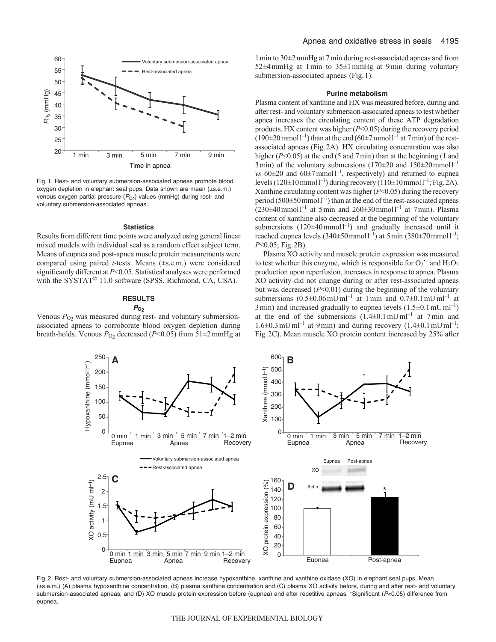

Fig. 1. Rest- and voluntary submersion-associated apneas promote blood oxygen depletion in elephant seal pups. Data shown are mean (±s.e.m.) venous oxygen partial pressure  $(P<sub>O2</sub>)$  values (mmHg) during rest- and voluntary submersion-associated apneas.

### **Statistics**

Results from different time points were analyzed using general linear mixed models with individual seal as a random effect subject term. Means of eupnea and post-apnea muscle protein measurements were compared using paired *t*-tests. Means (±s.e.m.) were considered significantly different at *P*<0.05. Statistical analyses were performed with the SYSTAT<sup>©</sup> 11.0 software (SPSS, Richmond, CA, USA).

# **RESULTS**

# *P***O2**

Venous  $P_{O_2}$  was measured during rest- and voluntary submersionassociated apneas to corroborate blood oxygen depletion during breath-holds. Venous  $P_{O2}$  decreased ( $P<0.05$ ) from 51 $\pm$ 2 mmHg at 1min to 30±2mmHg at 7min during rest-associated apneas and from 52 $\pm$ 4 mmHg at 1 min to 35 $\pm$ 1 mmHg at 9 min during voluntary submersion-associated apneas (Fig.1).

### **Purine metabolism**

Plasma content of xanthine and HX was measured before, during and after rest- and voluntary submersion-associated apneas to test whether apnea increases the circulating content of these ATP degradation products. HX content was higher (*P*<0.05) during the recovery period  $(190\pm20 \,\text{mmol}^{-1})$  than at the end  $(60\pm7 \,\text{mmol}^{-1})$  at 7 min) of the restassociated apneas (Fig.2A). HX circulating concentration was also higher (*P*<0.05) at the end (5 and 7 min) than at the beginning (1 and 3 min) of the voluntary submersions  $(170\pm20$  and  $150\pm20$  mmol<sup>-1</sup> *vs*  $60\pm20$  and  $60\pm7$  mmoll<sup>-1</sup>, respectively) and returned to eupnea levels  $(120 \pm 10 \text{ mmol l}^{-1})$  during recovery  $(110 \pm 10 \text{ mmol l}^{-1})$ ; Fig. 2A). Xanthine circulating content was higher (*P*<0.05) during the recovery period  $(500\pm50$  mmol  $l^{-1}$ ) than at the end of the rest-associated apneas  $(230\pm40 \text{ mmol})^{-1}$  at 5 min and  $260\pm30 \text{ mmol}^{-1}$  at 7 min). Plasma content of xanthine also decreased at the beginning of the voluntary submersions  $(120 \pm 40 \text{ mmol l}^{-1})$  and gradually increased until it reached eupnea levels  $(340\pm50 \text{ mmol l}^{-1})$  at 5 min  $(380\pm70 \text{ mmol l}^{-1})$ ; *P*<0.05; Fig.2B).

Plasma XO activity and muscle protein expression was measured to test whether this enzyme, which is responsible for  $O_2$ <sup>--</sup> and  $H_2O_2$ production upon reperfusion, increases in response to apnea. Plasma XO activity did not change during or after rest-associated apneas but was decreased (*P*<0.01) during the beginning of the voluntary submersions  $(0.5\pm0.06 \,\mathrm{mU\,m l^{-1}}$  at 1 min and  $0.7\pm0.1 \,\mathrm{mU\,m l^{-1}}$  at 3 min) and increased gradually to eupnea levels  $(1.5\pm0.1 \text{ mU m}^{-1})$ at the end of the submersions  $(1.4\pm0.1 \,\text{mU})$ ml<sup>-1</sup> at 7 min and  $1.6\pm0.3$  mUml<sup>-1</sup> at 9 min) and during recovery  $(1.4\pm0.1$  mUml<sup>-1</sup>; Fig.2C). Mean muscle XO protein content increased by 25% after



Fig. 2. Rest- and voluntary submersion-associated apneas increase hypoxanthine, xanthine and xanthine oxidase (XO) in elephant seal pups. Mean (±s.e.m.) (A) plasma hypoxanthine concentration, (B) plasma xanthine concentration and (C) plasma XO activity before, during and after rest- and voluntary submersion-associated apneas, and (D) XO muscle protein expression before (eupnea) and after repetitive apneas. \*Significant (*P*<0.05) difference from eupnea.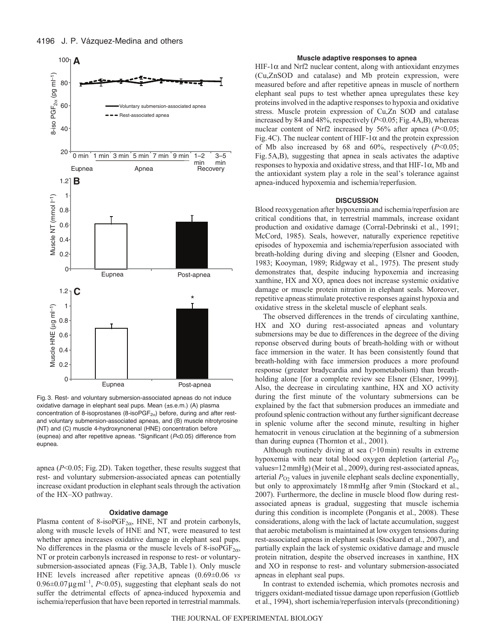

Fig. 3. Rest- and voluntary submersion-associated apneas do not induce oxidative damage in elephant seal pups. Mean (±s.e.m.) (A) plasma concentration of 8-isoprostanes (8-isoPGF<sub>2 $\alpha$ </sub>) before, during and after restand voluntary submersion-associated apneas, and (B) muscle nitrotyrosine (NT) and (C) muscle 4-hydroxynonenal (HNE) concentration before (eupnea) and after repetitive apneas. \*Significant (*P*<0.05) difference from eupnea.

apnea (*P*<0.05; Fig.2D). Taken together, these results suggest that rest- and voluntary submersion-associated apneas can potentially increase oxidant production in elephant seals through the activation of the HX–XO pathway.

### **Oxidative damage**

Plasma content of 8-iso $PGF_{2\alpha}$ , HNE, NT and protein carbonyls, along with muscle levels of HNE and NT, were measured to test whether apnea increases oxidative damage in elephant seal pups. No differences in the plasma or the muscle levels of 8-iso $PGF_{2\alpha}$ , NT or protein carbonyls increased in response to rest- or voluntarysubmersion-associated apneas (Fig.3A,B, Table1). Only muscle HNE levels increased after repetitive apneas (0.69±0.06 *vs*  $0.96\pm0.07\,\text{\mu}\text{g}\,\text{ml}^{-1}$ , *P*<0.05), suggesting that elephant seals do not suffer the detrimental effects of apnea-induced hypoxemia and ischemia/reperfusion that have been reported in terrestrial mammals.

### **Muscle adaptive responses to apnea**

HIF-1 $\alpha$  and Nrf2 nuclear content, along with antioxidant enzymes (Cu,ZnSOD and catalase) and Mb protein expression, were measured before and after repetitive apneas in muscle of northern elephant seal pups to test whether apnea upregulates these key proteins involved in the adaptive responses to hypoxia and oxidative stress. Muscle protein expression of Cu,Zn SOD and catalase increased by 84 and 48%, respectively (*P*<0.05; Fig.4A,B), whereas nuclear content of Nrf2 increased by 56% after apnea (*P*<0.05; Fig. 4C). The nuclear content of HIF-1 $\alpha$  and the protein expression of Mb also increased by 68 and 60%, respectively (*P*<0.05; Fig.5A,B), suggesting that apnea in seals activates the adaptive responses to hypoxia and oxidative stress, and that  $HIF-1\alpha$ , Mb and the antioxidant system play a role in the seal's tolerance against apnea-induced hypoxemia and ischemia/reperfusion.

### **DISCUSSION**

Blood reoxygenation after hypoxemia and ischemia/reperfusion are critical conditions that, in terrestrial mammals, increase oxidant production and oxidative damage (Corral-Debrinski et al., 1991; McCord, 1985). Seals, however, naturally experience repetitive episodes of hypoxemia and ischemia/reperfusion associated with breath-holding during diving and sleeping (Elsner and Gooden, 1983; Kooyman, 1989; Ridgway et al., 1975). The present study demonstrates that, despite inducing hypoxemia and increasing xanthine, HX and XO, apnea does not increase systemic oxidative damage or muscle protein nitration in elephant seals. Moreover, repetitive apneas stimulate protective responses against hypoxia and oxidative stress in the skeletal muscle of elephant seals.

The observed differences in the trends of circulating xanthine, HX and XO during rest-associated apneas and voluntary submersions may be due to differences in the degreee of the diving reponse observed during bouts of breath-holding with or without face immersion in the water. It has been consistently found that breath-holding with face immersion produces a more profound response (greater bradycardia and hypometabolism) than breathholding alone [for a complete review see Elsner (Elsner, 1999)]. Also, the decrease in circulating xanthine, HX and XO activity during the first minute of the voluntary submersions can be explained by the fact that submersion produces an immediate and profound splenic contraction without any further significant decrease in splenic volume after the second minute, resulting in higher hematocrit in venous ciruclation at the beginning of a submersion than during eupnea (Thornton et al., 2001).

Although routinely diving at sea (>10min) results in extreme hypoxemia with near total blood oxygen depletion (arterial  $P<sub>O2</sub>$ values=12 mmHg) (Meir et al., 2009), during rest-associated apneas, arterial  $P_{O_2}$  values in juvenile elephant seals decline exponentially, but only to approximately 18mmHg after 9min (Stockard et al., 2007). Furthermore, the decline in muscle blood flow during restassociated apneas is gradual, suggesting that muscle ischemia during this condition is incomplete (Ponganis et al., 2008). These considerations, along with the lack of lactate accumulation, suggest that aerobic metabolism is maintained at low oxygen tensions during rest-associated apneas in elephant seals (Stockard et al., 2007), and partially explain the lack of systemic oxidative damage and muscle protein nitration, despite the observed increases in xanthine, HX and XO in response to rest- and voluntary submersion-associated apneas in elephant seal pups.

In contrast to extended ischemia, which promotes necrosis and triggers oxidant-mediated tissue damage upon reperfusion (Gottlieb et al., 1994), short ischemia/reperfusion intervals (preconditioning)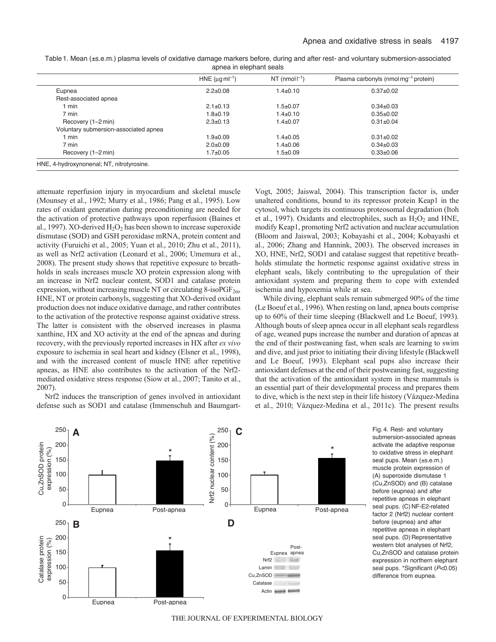|                                       | HNE ( $\mu$ g m $^{-1}$ ) | NT (nmol $\vert^{-1}$ ) | Plasma carbonyls (nmol mq $^{-1}$ protein) |
|---------------------------------------|---------------------------|-------------------------|--------------------------------------------|
| Eupnea                                | $2.2 + 0.08$              | $1.4 \pm 0.10$          | $0.37 + 0.02$                              |
| Rest-associated apnea                 |                           |                         |                                            |
| $1$ min                               | $2.1 \pm 0.13$            | $1.5 + 0.07$            | $0.34 + 0.03$                              |
| 7 min                                 | $1.8 + 0.19$              | $1.4 \pm 0.10$          | $0.35 + 0.02$                              |
| Recovery (1-2 min)                    | $2.3 \pm 0.13$            | $1.4 \pm 0.07$          | $0.31 \pm 0.04$                            |
| Voluntary submersion-associated apnea |                           |                         |                                            |
| 1 min                                 | $1.9 + 0.09$              | $1.4 \pm 0.05$          | $0.31 \pm 0.02$                            |
| 7 min                                 | $2.0 + 0.09$              | $1.4 \pm 0.06$          | $0.34 \pm 0.03$                            |
| Recovery (1-2 min)                    | $1.7 + 0.05$              | $1.5 \pm 0.09$          | $0.33 + 0.06$                              |

Table1. Mean (±s.e.m.) plasma levels of oxidative damage markers before, during and after rest- and voluntary submersion-associated apnea in elephant seals

attenuate reperfusion injury in myocardium and skeletal muscle (Mounsey et al., 1992; Murry et al., 1986; Pang et al., 1995). Low rates of oxidant generation during preconditioning are needed for the activation of protective pathways upon reperfusion (Baines et al., 1997). XO-derived  $H_2O_2$  has been shown to increase superoxide dismutase (SOD) and GSH peroxidase mRNA, protein content and activity (Furuichi et al., 2005; Yuan et al., 2010; Zhu et al., 2011), as well as Nrf2 activation (Leonard et al., 2006; Umemura et al., 2008). The present study shows that repetitive exposure to breathholds in seals increases muscle XO protein expression along with an increase in Nrf2 nuclear content, SOD1 and catalase protein expression, without increasing muscle NT or circulating 8-iso $PGF_{2\alpha}$ , HNE, NT or protein carbonyls, suggesting that XO-derived oxidant production does not induce oxidative damage, and rather contributes to the activation of the protective response against oxidative stress. The latter is consistent with the observed increases in plasma xanthine, HX and XO activity at the end of the apneas and during recovery, with the previously reported increases in HX after *ex vivo* exposure to ischemia in seal heart and kidney (Elsner et al., 1998), and with the increased content of muscle HNE after repetitive apneas, as HNE also contributes to the activation of the Nrf2 mediated oxidative stress response (Siow et al., 2007; Tanito et al., 2007).

Nrf2 induces the transcription of genes involved in antioxidant defense such as SOD1 and catalase (Immenschuh and BaumgartVogt, 2005; Jaiswal, 2004). This transcription factor is, under unaltered conditions, bound to its repressor protein Keap1 in the cytosol, which targets its continuous proteosomal degradation (Itoh et al., 1997). Oxidants and electrophiles, such as  $H_2O_2$  and HNE, modify Keap1, promoting Nrf2 activation and nuclear accumulation (Bloom and Jaiswal, 2003; Kobayashi et al., 2004; Kobayashi et al., 2006; Zhang and Hannink, 2003). The observed increases in XO, HNE, Nrf2, SOD1 and catalase suggest that repetitive breathholds stimulate the hormetic response against oxidative stress in elephant seals, likely contributing to the upregulation of their antioxidant system and preparing them to cope with extended ischemia and hypoxemia while at sea.

While diving, elephant seals remain submerged 90% of the time (Le Boeuf et al., 1996). When resting on land, apnea bouts comprise up to 60% of their time sleeping (Blackwell and Le Boeuf, 1993). Although bouts of sleep apnea occur in all elephant seals regardless of age, weaned pups increase the number and duration of apneas at the end of their postweaning fast, when seals are learning to swim and dive, and just prior to initiating their diving lifestyle (Blackwell and Le Boeuf, 1993). Elephant seal pups also increase their antioxidant defenses at the end of their postweaning fast, suggesting that the activation of the antioxidant system in these mammals is an essential part of their developmental process and prepares them to dive, which is the next step in their life history (Vázquez-Medina et al., 2010; Vázquez-Medina et al., 2011c). The present results



Fig. 4. Rest- and voluntary submersion-associated apneas activate the adaptive response to oxidative stress in elephant seal pups. Mean (±s.e.m.) muscle protein expression of (A) superoxide dismutase 1 (Cu,ZnSOD) and (B) catalase before (eupnea) and after repetitive apneas in elephant seal pups. (C) NF-E2-related factor 2 (Nrf2) nuclear content before (eupnea) and after repetitive apneas in elephant seal pups. (D) Representative western blot analyses of Nrf2, Cu,ZnSOD and catalase protein expression in northern elephant seal pups. \*Significant (*P*<0.05) difference from eupnea.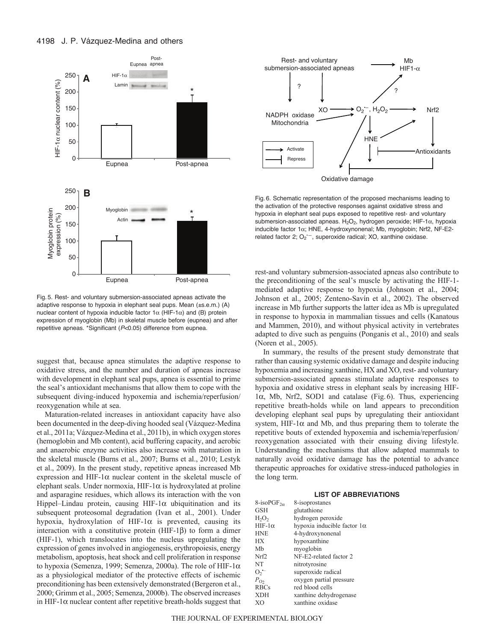

Fig. 5. Rest- and voluntary submersion-associated apneas activate the adaptive response to hypoxia in elephant seal pups. Mean (±s.e.m.) (A) nuclear content of hypoxia inducible factor  $1\alpha$  (HIF-1 $\alpha$ ) and (B) protein expression of myoglobin (Mb) in skeletal muscle before (eupnea) and after repetitive apneas. \*Significant (*P*<0.05) difference from eupnea.

suggest that, because apnea stimulates the adaptive response to oxidative stress, and the number and duration of apneas increase with development in elephant seal pups, apnea is essential to prime the seal's antioxidant mechanisms that allow them to cope with the subsequent diving-induced hypoxemia and ischemia/reperfusion/ reoxygenation while at sea.

Maturation-related increases in antioxidant capacity have also been documented in the deep-diving hooded seal (Vázquez-Medina et al., 2011a; Vázquez-Medina et al., 2011b), in which oxygen stores (hemoglobin and Mb content), acid buffering capacity, and aerobic and anaerobic enzyme activities also increase with maturation in the skeletal muscle (Burns et al., 2007; Burns et al., 2010; Lestyk et al., 2009). In the present study, repetitive apneas increased Mb expression and HIF-1 $\alpha$  nuclear content in the skeletal muscle of elephant seals. Under normoxia,  $HIF-1\alpha$  is hydroxylated at proline and asparagine residues, which allows its interaction with the von Hippel–Lindau protein, causing HIF-1 $\alpha$  ubiquitination and its subsequent proteosomal degradation (Ivan et al., 2001). Under hypoxia, hydroxylation of HIF-1 $\alpha$  is prevented, causing its interaction with a constitutive protein ( $HIF-1\beta$ ) to form a dimer (HIF-1), which translocates into the nucleus upregulating the expression of genes involved in angiogenesis, erythropoiesis, energy metabolism, apoptosis, heat shock and cell proliferation in response to hypoxia (Semenza, 1999; Semenza, 2000a). The role of HIF-1 $\alpha$ as a physiological mediator of the protective effects of ischemic preconditioning has been extensively demonstrated (Bergeron et al., 2000; Grimm et al., 2005; Semenza, 2000b). The observed increases in HIF-1 $\alpha$  nuclear content after repetitive breath-holds suggest that



Oxidative damage

Fig. 6. Schematic representation of the proposed mechanisms leading to the activation of the protective responses against oxidative stress and hypoxia in elephant seal pups exposed to repetitive rest- and voluntary submersion-associated apneas.  $H_2O_2$ , hydrogen peroxide; HIF-1 $\alpha$ , hypoxia inducible factor  $1\alpha$ ; HNE, 4-hydroxynonenal; Mb, myoglobin; Nrf2, NF-E2related factor 2;  $O_2^{\cdot -}$ , superoxide radical; XO, xanthine oxidase.

rest-and voluntary submersion-associated apneas also contribute to the preconditioning of the seal's muscle by activating the HIF-1 mediated adaptive response to hypoxia (Johnson et al., 2004; Johnson et al., 2005; Zenteno-Savín et al., 2002). The observed increase in Mb further supports the latter idea as Mb is upregulated in response to hypoxia in mammalian tissues and cells (Kanatous and Mammen, 2010), and without physical activity in vertebrates adapted to dive such as penguins (Ponganis et al., 2010) and seals (Noren et al., 2005).

In summary, the results of the present study demonstrate that rather than causing systemic oxidative damage and despite inducing hypoxemia and increasing xanthine, HX and XO, rest- and voluntary submersion-associated apneas stimulate adaptive responses to hypoxia and oxidative stress in elephant seals by increasing HIF- $1\alpha$ , Mb, Nrf2, SOD1 and catalase (Fig. 6). Thus, experiencing repetitive breath-holds while on land appears to precondition developing elephant seal pups by upregulating their antioxidant system, HIF-1 $\alpha$  and Mb, and thus preparing them to tolerate the repetitive bouts of extended hypoxemia and ischemia/reperfusion/ reoxygenation associated with their ensuing diving lifestyle. Understanding the mechanisms that allow adapted mammals to naturally avoid oxidative damage has the potential to advance therapeutic approaches for oxidative stress-induced pathologies in the long term.

### **LIST OF ABBREVIATIONS**

| 8-isoPGF <sub>2<math>\alpha</math></sub> | 8-isoprostanes                     |
|------------------------------------------|------------------------------------|
| <b>GSH</b>                               | glutathione                        |
| $H_2O_2$                                 | hydrogen peroxide                  |
| $HIF-1\alpha$                            | hypoxia inducible factor $1\alpha$ |
| <b>HNE</b>                               | 4-hydroxynonenal                   |
| <b>HX</b>                                | hypoxanthine                       |
| Mb                                       | myoglobin                          |
| Nrf <sub>2</sub>                         | NF-E2-related factor 2             |
| <b>NT</b>                                | nitrotyrosine                      |
| $O_2$ –                                  | superoxide radical                 |
| $P_{O2}$                                 | oxygen partial pressure            |
| <b>RBCs</b>                              | red blood cells                    |
| <b>XDH</b>                               | xanthine dehydrogenase             |
| XO                                       | xanthine oxidase                   |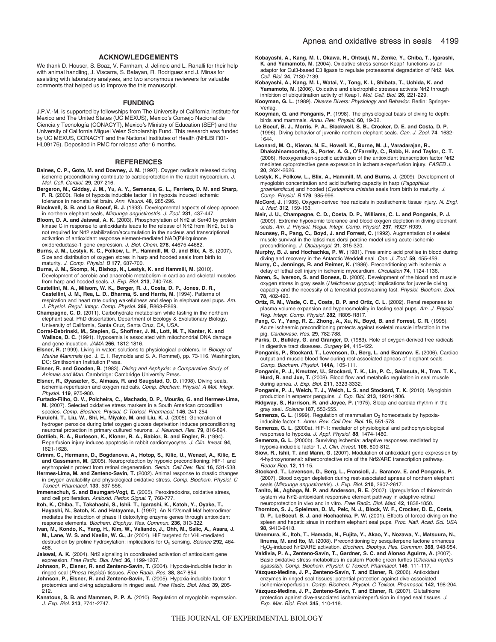### **ACKNOWLEDGEMENTS**

We thank D. Houser, S. Boaz, V. Farnham, J. Jelincic and L. Ranalli for their help with animal handling, J. Viscarra, S. Balayan, R. Rodriguez and J. Minas for assisting with laboratory analyses, and two anonymous reviewers for valuable comments that helped us to improve the this manuscript.

### **FUNDING**

J.P.V.-M. is supported by fellowships from The University of California Institute for Mexico and The United States (UC MEXUS), Mexico's Consejo Nacional de Ciencia y Tecnología (CONACYT), Mexico's Ministry of Education (SEP) and the University of California Miguel Velez Scholarship Fund. This research was funded by UC MEXUS, CONACYT and the National Institutes of Health (NHLBI R01- HL09176). Deposited in PMC for release after 6 months.

#### **REFERENCES**

- **Baines, C. P., Goto, M. and Downey, J. M.** (1997). Oxygen radicals released during ischemic preconditioning contribute to cardioprotection in the rabbit myocardium. *J. Mol. Cell. Cardiol.* **29**, 207-216.
- Bergeron, M., Gidday, J. M., Yu, A. Y., Semenza, G. L., Ferriero, D. M. and Sharp,<br>**F. R.** (2000). Role of hypoxia inducible factor 1 in hypoxia induced ischemic tolerance in neonatal rat brain. *Ann. Neurol.* **48**, 285-296.
- **Blackwell, S. B. and Le Boeuf, B. J.** (1993). Developmental aspects of sleep apnoea in northern elephant seals, *Mirounga angustirostris*. *J. Zool.* **231**, 437-447.
- **Bloom, D. A. and Jaiswal, A. K.** (2003). Phosphorylation of Nrf2 at Ser40 by protein kinase C in response to antioxidants leads to the release of Nrf2 from INrf2, but is not required for Nrf2 stabilization/accumulation in the nucleus and transcriptional activation of antioxidant response element-mediated NAD(P)H:quinone oxidoreductase-1 gene expression. *J. Biol. Chem.* **278**, 44675-44682.
- **Burns, J. M., Lestyk, K. C., Folkow, L. P., Hammill, M. O. and Blix, A. S.** (2007). Size and distribution of oxygen stores in harp and hooded seals from birth to maturity. *J. Comp. Physiol. B* **177**, 687-700.
- **Burns, J. M., Skomp, N., Bishop, N., Lestyk, K. and Hammill, M.** (2010). Development of aerobic and anaerobic metabolism in cardiac and skeletal muscles from harp and hooded seals. *J. Exp. Biol.* **213**, 740-748.
- **Castellini, M. A., Milsom, W. K., Berger, R. J., Costa, D. P., Jones, D. R., Castellini, J. M., Rea, L. D., Bharma, S. and Harris, M.** (1994). Patterns of respiration and heart rate during wakefulness and sleep in elephant seal pups. *Am. J. Physiol. Regul. Integr. Comp. Physiol.* **266**, R863-R869.
- **Champagne, C. D.** (2011). Carbohydrate metabolism while fasting in the northern elephant seal. PhD dissertation, Department of Ecology & Evolutionary Biology, University of California, Santa Cruz, Santa Cruz, CA, USA.
- **Corral-Debrinski, M., Stepien, G., Shoffner, J. M., Lott, M. T., Kanter, K. and Wallace, D. C.** (1991). Hypoxemia is associated with mitochondrial DNA damage and gene induction. *JAMA* **266**, 1812-1816.
- **Elsner, R.** (1999). Living in water: solutions to physiological problems. In *Biology of Marine Mammals* (ed. J. E. I. Reynolds and S. A. Rommel), pp. 73-116. Washington, DC: Smithsonian Institution Press.
- **Elsner, R. and Gooden, B.** (1983). *Diving and Asphyxia: a Comparative Study of Animals and Man.* Cambridge: Cambridge University Press.
- **Elsner, R., Øyasæter, S., Almaas, R. and Saugstad, O. D.** (1998). Diving seals, ischemia-reperfusion and oxygen radicals. *Comp. Biochem. Physiol. A Mol. Integr. Physiol.* **119**, 975-980.
- **Furtado-Filho, O. V., Polcheira, C., Machado, D. P., Mourão, G. and Hermes-Lima, M.** (2007). Selected oxidative stress markers in a South American crocodilian species. *Comp. Biochem. Physiol. C Toxicol. Pharmacol.* **146**, 241-254.
- **Furuichi, T., Liu, W., Shi, H., Miyake, M. and Liu, K. J.** (2005). Generation of hydrogen peroxide during brief oxygen glucose deprivation induces preconditioning neuronal protection in primary cultured neurons. *J. Neurosci. Res.* **79**, 816-824.
- **Gottlieb, R. A., Burleson, K., Kloner, R. A., Babior, B. and Engler, R.** (1994). Reperfusion injury induces apoptosis in rabbit cardiomyocytes. *J. Clin. Invest.* **94**, 1621-1628.
- **Grimm, C., Hermann, D., Bogdanova, A., Hotop, S., Kilic, U., Wenzel, A., Kilic, E. and Gassmann, M.** (2005). Neuroprotection by hypoxic preconditioning: HIF-1 and
- erythropoietin protect from retinal degeneration. *Semin. Cell Dev. Biol.* **16**, 531-538. **Hermes-Lima, M. and Zenteno-Savín, T.** (2002). Animal response to drastic changes in oxygen availability and physiological oxidative stress. *Comp. Biochem. Physiol. C Toxicol. Pharmacol.* **133**, 537-556.
- **Immenschuh, S. and Baumgart-Vogt, E.** (2005). Peroxiredoxins, oxidative stress, and cell proliferation. *Antioxid. Redox Signal.* **7**, 768-777.
- **Itoh, K., Chiba, T., Takahashi, S., Ishii, T., Igarashi, K., Katoh, Y., Oyake, T., Hayashi, N., Satoh, K. and Hatayama, I.** (1997). An Nrf2/small Maf heterodimer mediates the induction of phase II detoxifying enzyme genes through antioxidant response elements. *Biochem. Biophys. Res. Commun.* **236**, 313-322.
- **Ivan, M., Kondo, K., Yang, H., Kim, W., Valiando, J., Ohh, M., Salic, A., Asara, J. M., Lane, W. S. and Kaelin, W. G., Jr** (2001). HIF targeted for VHL-mediated destruction by proline hydroxylation: implications for O<sub>2</sub> sensing. *Science* 292, 464-468.
- **Jaiswal, A. K.** (2004). Nrf2 signaling in coordinated activation of antioxidant gene expression. *Free Radic. Biol. Med.* **36**, 1199-1207.
- **Johnson, P., Elsner, R. and Zenteno-Savín, T.** (2004). Hypoxia-inducible factor in ringed seal (*Phoca hispida*) tissues. *Free Radic. Res.* **38**, 847-854.
- **Johnson, P., Elsner, R. and Zenteno-Savín, T.** (2005). Hypoxia-inducible factor 1 proteomics and diving adaptations in ringed seal. *Free Radic. Biol. Med.* **39**, 205- 212.
- **Kanatous, S. B. and Mammen, P. P. A.** (2010). Regulation of myoglobin expression. *J. Exp. Biol.* **213**, 2741-2747.
- **Kobayashi, A., Kang, M. I., Okawa, H., Ohtsuji, M., Zenke, Y., Chiba, T., Igarashi, K. and Yamamoto, M.** (2004). Oxidative stress sensor Keap1 functions as an adaptor for Cul3-based E3 ligase to regulate proteasomal degradation of Nrf2. *Mol*. *Cell. Biol.* **24**, 7130-7139.
- **Kobayashi, A., Kang, M. I., Watai, Y., Tong, K. I., Shibata, T., Uchida, K. and** Yamamoto, M. (2006). Oxidative and electrophilic stresses activate Nrf2 through inhibition of ubiquitination activity of Keap1. *Mol*. *Cell. Biol.* **26**, 221-229.
- **Kooyman, G. L.** (1989). *Diverse Divers: Physiology and Behavior.* Berlin: Springer-**Verlag**
- **Kooyman, G. and Ponganis, P.** (1998). The physiological basis of diving to depth: birds and mammals. *Annu. Rev. Physiol.* **60**, 19-32.
- **Le Boeuf, B. J., Morris, P. A., Blackwell, S. B., Crocker, D. E. and Costa, D. P.** (1996). Diving behavior of juvenile northern elephant seals. *Can. J. Zool.* **74**, 1632- 1644.
- **Leonard, M. O., Kieran, N. E., Howell, K., Burne, M. J., Varadarajan, R., Dhakshinamoorthy, S., Porter, A. G., O'Farrelly, C., Rabb, H. and Taylor, C. T.** (2006). Reoxygenation-specific activation of the antioxidant transcription factor Nrf2 mediates cytoprotective gene expression in ischemia-reperfusion injury. *FASEB J.* **20**, 2624-2626.
- **Lestyk, K., Folkow, L., Blix, A., Hammill, M. and Burns, J.** (2009). Development of myoglobin concentration and acid buffering capacity in harp (*Pagophilus groenlandicus*) and hooded (*Cystophora cristata*) seals from birth to maturity. *J. Comp. Physiol. B* **179**, 985-996.
- **McCord, J.** (1985). Oxygen-derived free radicals in postischemic tissue injury. *N. Engl. J. Med.* **312**, 159-163.
- **Meir, J. U., Champagne, C. D., Costa, D. P., Williams, C. L. and Ponganis, P. J.** (2009). Extreme hypoxemic tolerance and blood oxygen depletion in diving elephant seals. *Am. J. Physiol. Regul. Integr. Comp. Physiol.* **297**, R927-R939.
- **Mounsey, R., Pang, C., Boyd, J. and Forrest, C.** (1992). Augmentation of skeletal muscle survival in the latissimus dorsi porcine model using acute ischemic preconditioning. *J. Otolaryngol.* **21**, 315-320.
- **Murphy, B. J. and Hochachka, P. W.** (1981). Free amino acid profiles in blood during diving and recovery in the Antarctic Weddell seal. *Can. J. Zool.* **59**, 455-459.
- **Murry, C., Jennings, R. and Reimer, K.** (1986). Preconditioning with ischemia: a delay of lethal cell injury in ischemic myocardium. *Circulation* **74**, 1124-1136.
- **Noren, S., Iverson, S. and Boness, D.** (2005). Development of the blood and muscle oxygen stores in gray seals (*Halichoerus grypus*): implications for juvenile diving capacity and the necessity of a terrestrial postweaning fast. *Physiol. Biochem. Zool.* **78**, 482-490.
- **Ortiz, R. M., Wade, C. E., Costa, D. P. and Ortiz, C. L.** (2002). Renal responses to plasma volume expansion and hyperosmolality in fasting seal pups. *Am. J. Physiol. Reg. Integr. Comp. Physiol.* **282**, R805-R817.
- **Pang, C. Y., Yang, R. Z., Zhong, A., Xu, N., Boyd, B. and Forrest, C. R.** (1995). Acute ischaemic preconditioning protects against skeletal muscle infarction in the pig. *Cardiovasc. Res.* **29**, 782-788.
- **Parks, D., Bulkley, G. and Granger, D.** (1983). Role of oxygen-derived free radicals in digestive tract diseases. *Surgery* **94**, 415-422.
- **Ponganis, P., Stockard, T., Levenson, D., Berg, L. and Baranov, E.** (2006). Cardiac output and muscle blood flow during rest-associated apneas of elephant seals. *Comp. Biochem. Physiol.* **144A**, 105-111.
- **Ponganis, P. J., Kreutzer, U., Stockard, T. K., Lin, P. C., Sailasuta, N., Tran, T. K., Hurd, R. and Jue, T.** (2008). Blood flow and metabolic regulation in seal muscle during apnea. *J. Exp. Biol.* **211**, 3323-3332.
- **Ponganis, P. J., Welch, T. J., Welch, L. S. and Stockard, T. K.** (2010). Myoglobin production in emperor penguins. *J. Exp. Biol.* **213**, 1901-1906.
- **Ridgway, S., Harrison, R. and Joyce, P.** (1975). Sleep and cardiac rhythm in the gray seal. *Science* **187**, 553-555.
- Semenza, G. L. (1999). Regulation of mammalian O<sub>2</sub> homeostasis by hypoxiainducible factor 1. *Annu. Rev. Cell Dev. Biol.* **15**, 551-578.
- **Semenza, G. L.** (2000a). HIF-1: mediator of physiological and pathophysiological responses to hypoxia. *J. Appl. Physiol.* **88**, 1474-1480.
- **Semenza, G. L.** (2000b). Surviving ischemia: adaptive responses mediated by hypoxia-inducible factor 1. *J. Clin. Invest.* **106**, 809-812.
- **Siow, R., Ishii, T. and Mann, G.** (2007). Modulation of antioxidant gene expression by 4-hydroxynonenal: atheroprotective role of the Nrf2/ARE transcription pathway. *Redox Rep.* **12**, 11-15.
- **Stockard, T., Levenson, D., Berg, L., Fransioli, J., Baranov, E. and Ponganis, P.** (2007). Blood oxygen depletion during rest-associated apneas of northern elephant seals (*Mirounga angustirostris*). *J. Exp. Biol.* **210**, 2607-2617.
- **Tanito, M., Agbaga, M. P. and Anderson, R. E.** (2007). Upregulation of thioredoxin system via Nrf2-antioxidant responsive element pathway in adaptive-retinal neuroprotection in vivo and in vitro. *Free Radic. Biol. Med.* **42**, 1838-1850.
- **Thornton, S. J., Spielman, D. M., Pelc, N. J., Block, W. F., Crocker, D. E., Costa, D. P., LeBoeuf, B. J. and Hochachka, P. W.** (2001). Effects of forced diving on the spleen and hepatic sinus in northern elephant seal pups. *Proc. Natl. Acad. Sci. USA* **98**, 9413-9418.
- **Umemura, K., Itoh, T., Hamada, N., Fujita, Y., Akao, Y., Nozawa, Y., Matsuura, N., Iinuma, M. and Ito, M.** (2008). Preconditioning by sesquiterpene lactone enhances H2O2-induced Nrf2/ARE activation. *Biochem. Biophys. Res. Commun.* **368**, 948-954.
- **Valdivia, P. A., Zenteno-Savín, T., Gardner, S. C. and Alonso Aguirre, A.** (2007). Basic oxidative stress metabolites in eastern Pacific green turtles (*Chelonia mydas*
- *agassizii*). *Comp. Biochem. Physiol. C Toxicol. Pharmacol.* **146**, 111-117. **Vázquez-Medina, J. P., Zenteno-Savín, T. and Elsner, R.** (2006). Antioxidant enzymes in ringed seal tissues: potential protection against dive-associated ischemia/reperfusion. *Comp. Biochem. Physiol. C Toxicol. Pharmacol.* **142**, 198-204.
- **Vázquez-Medina, J. P., Zenteno-Savín, T. and Elsner, R.** (2007). Glutathione protection against dive-associated ischemia/reperfusion in ringed seal tissues. *J. Exp. Mar. Biol. Ecol.* **345**, 110-118.